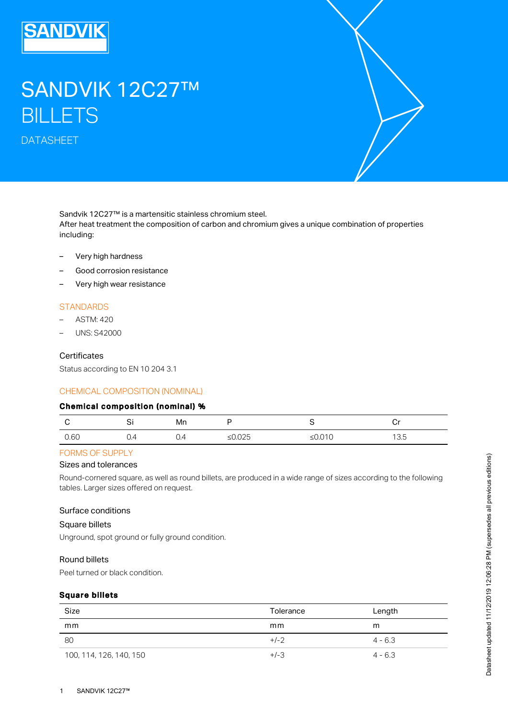

# SANDVIK 12C27™ **BILLETS**

DATASHEET



Sandvik 12C27™ is a martensitic stainless chromium steel. After heat treatment the composition of carbon and chromium gives a unique combination of properties including:

- Very high hardness
- Good corrosion resistance
- Very high wear resistance

#### **STANDARDS**

- ASTM: 420
- UNS: S42000

#### **Certificates**

Status according to EN 10 204 3.1

#### CHEMICAL COMPOSITION (NOMINAL)

#### Chemical composition (nominal) %

|      | ັ<br>$\sim$ | Mn  |              |                         | . .<br>$-$ |
|------|-------------|-----|--------------|-------------------------|------------|
| 0.60 | U.4         | 0.4 | へつら<br>≥∪.∪∠ | $\sim$ $\sim$<br>50.010 | 13.5       |

## FORMS OF SUPPLY

#### Sizes and tolerances

Round-cornered square, as well as round billets, are produced in a wide range of sizes according to the following tables. Larger sizes offered on request.

#### Surface conditions

#### Square billets

Unground, spot ground or fully ground condition.

## Round billets

Peel turned or black condition.

## Square billets

| Size                    | Tolerance | Length    |
|-------------------------|-----------|-----------|
| mm                      | mm        | m         |
| -80                     | $+/-2$    | $4 - 6.3$ |
| 100, 114, 126, 140, 150 | $+/-3$    | $4 - 6.3$ |